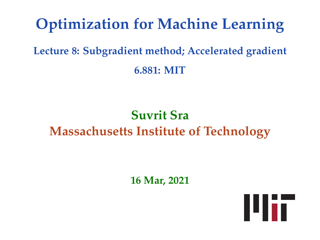# **Optimization for Machine Learning**

**Lecture 8: Subgradient method; Accelerated gradient 6.881: MIT**

## **Suvrit Sra Massachusetts Institute of Technology**

**16 Mar, 2021**

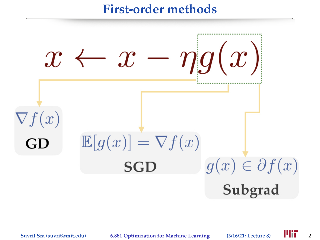### **First-order methods**

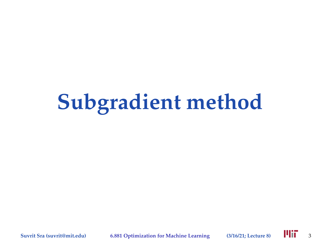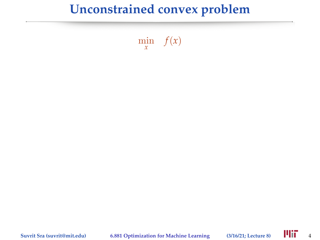$\min_{x} f(x)$ 

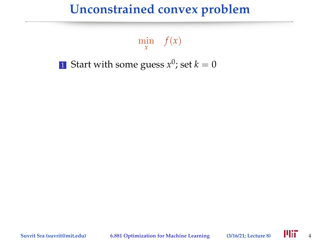$\min_{x} f(x)$ 

 $1$  Start with some guess  $x^0$ ; set  $k=0$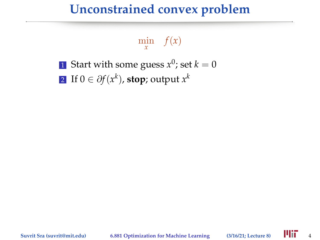$\min_{x} f(x)$ 

 $1$  Start with some guess  $x^0$ ; set  $k=0$  $2$  If  $0 \in \partial f(x^k)$ , stop; output  $x^k$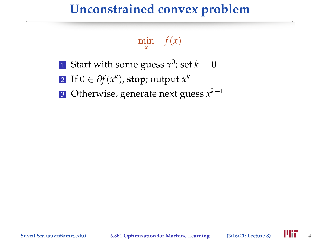# $\min_{x} f(x)$

- $1$  Start with some guess  $x^0$ ; set  $k=0$
- $2$  If  $0 \in \partial f(x^k)$ , stop; output  $x^k$
- $3$  Otherwise, generate next guess  $x^{k+1}$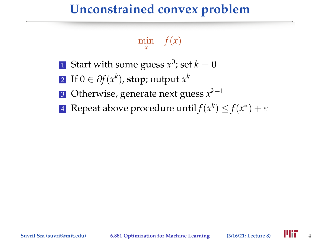# $\min_{x} f(x)$

- $1$  Start with some guess  $x^0$ ; set  $k=0$
- $2$  If  $0 \in \partial f(x^k)$ , stop; output  $x^k$
- $3$  Otherwise, generate next guess  $x^{k+1}$
- **4** Repeat above procedure until $f(x^k) \leq f(x^*) + \varepsilon$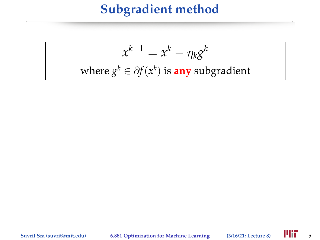$$
x^{k+1} = x^k - \eta_k g^k
$$
  
where  $g^k \in \partial f(x^k)$  is **any** subgradient

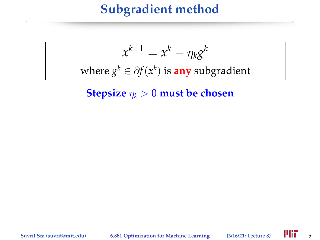$$
x^{k+1} = x^k - \eta_k g^k
$$
  
where  $g^k \in \partial f(x^k)$  is **any** subgradient

**Stepsize**  $\eta_k > 0$  **must be chosen** 

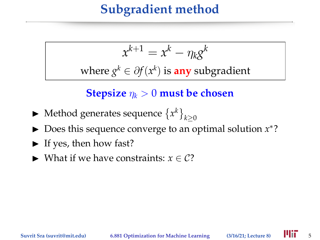$$
x^{k+1} = x^k - \eta_k g^k
$$

where  $g^k \in \partial f(x^k)$  is any subgradient

**Stepsize**  $\eta_k > 0$  **must be chosen** 

- $\blacktriangleright$  Method generates sequence  $\{x^k\}_{k\geq 0}$
- ► Does this sequence converge to an optimal solution *x*<sup>\*</sup>?
- $\blacktriangleright$  If yes, then how fast?
- $\triangleright$  What if we have constraints: *x* ∈ C?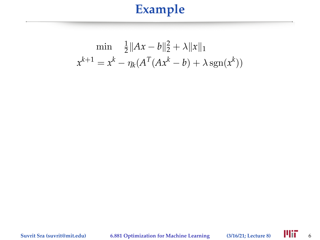$$
\min \frac{1}{2} \|Ax - b\|_2^2 + \lambda \|x\|_1
$$
  

$$
x^{k+1} = x^k - \eta_k (A^T (Ax^k - b) + \lambda \operatorname{sgn}(x^k))
$$

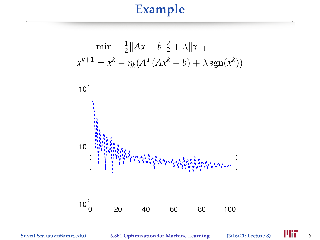$$
\min \frac{1}{2} \|Ax - b\|_2^2 + \lambda \|x\|_1
$$
  

$$
x^{k+1} = x^k - \eta_k (A^T (Ax^k - b) + \lambda \operatorname{sgn}(x^k))
$$

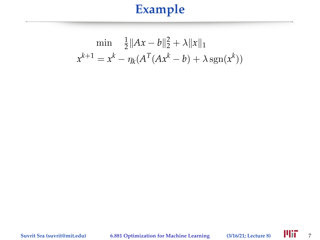$$
\min \frac{1}{2} \|Ax - b\|_2^2 + \lambda \|x\|_1
$$
  

$$
x^{k+1} = x^k - \eta_k (A^T (Ax^k - b) + \lambda \operatorname{sgn}(x^k))
$$

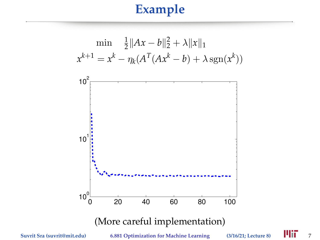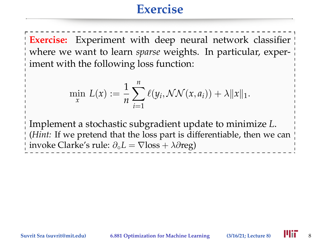### **Exercise**

**Exercise:** Experiment with deep neural network classifier where we want to learn *sparse* weights. In particular, experiment with the following loss function:

$$
\min_{x} L(x) := \frac{1}{n} \sum_{i=1}^{n} \ell(y_i, \mathcal{NN}(x, a_i)) + \lambda ||x||_1.
$$

Implement a stochastic subgradient update to minimize *L*. (*Hint:* If we pretend that the loss part is differentiable, then we can invoke Clarke's rule: ∂◦*L* = ∇loss + λ∂reg)

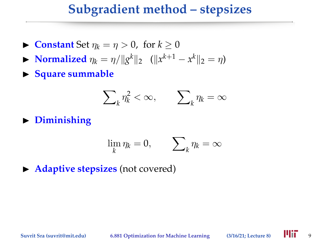### **Subgradient method – stepsizes**

- **If** Constant Set  $\eta_k = \eta > 0$ , for  $k > 0$
- ► **Normalized**  $\eta_k = \eta / ||g^k||_2$  ( $||x^{k+1} x^k||_2 = \eta$ )
- **In Square summable**

$$
\sum\nolimits_k^{} {{\eta _k^2} < \infty, \qquad \sum\nolimits_k^{} {{\eta _k} = \infty} }
$$

 $\blacktriangleright$  Diminishing

$$
\lim_k \eta_k = 0, \qquad \sum_k \eta_k = \infty
$$

**Adaptive stepsizes** (not covered)

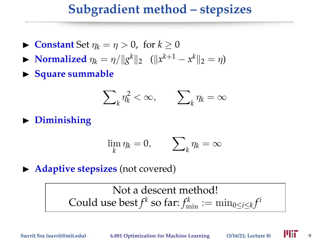### **Subgradient method – stepsizes**

- **If** Constant Set  $\eta_k = \eta > 0$ , for  $k > 0$
- ► **Normalized**  $\eta_k = \eta / ||g^k||_2$  ( $||x^{k+1} x^k||_2 = \eta$ )
- **In Square summable**

$$
\sum\nolimits_k^{} {{\eta _k^2} < \infty, \qquad \sum\nolimits_k^{} {{\eta _k} = \infty} }
$$

**P** Diminishing

$$
\lim_k \eta_k = 0, \qquad \sum_k \eta_k = \infty
$$

**Adaptive stepsizes** (not covered)

Not a descent method! Could use best  $f^k$  so far:  $f_{\min}^k := \min_{0 \leq i \leq k} f^i$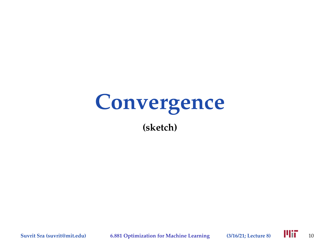# **Convergence (sketch)**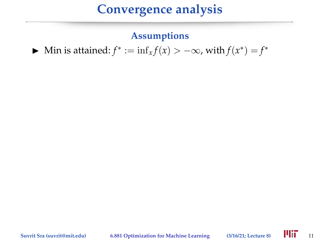#### **Assumptions**

► Min is attained:  $f^* := \inf_x f(x) > -\infty$ , with  $f(x^*) = f^*$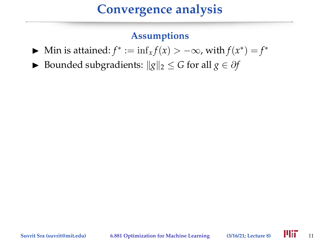#### **Assumptions**

- ► Min is attained:  $f^* := \inf_x f(x) > -\infty$ , with  $f(x^*) = f^*$
- **►** Bounded subgradients:  $||g||_2 \le G$  for all  $g \in \partial f$

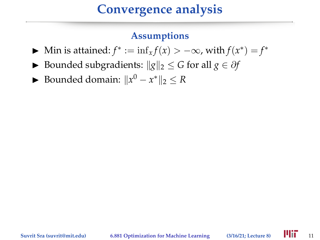#### **Assumptions**

- ► Min is attained:  $f^* := \inf_x f(x) > -\infty$ , with  $f(x^*) = f^*$
- **►** Bounded subgradients:  $||g||_2 \le G$  for all  $g \in \partial f$
- ► Bounded domain:  $||x^0 x^*||_2 \leq R$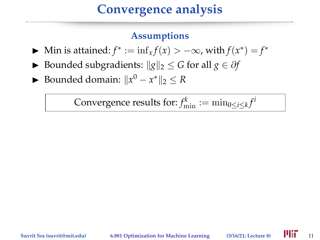#### **Assumptions**

- ► Min is attained:  $f^* := \inf_x f(x) > -\infty$ , with  $f(x^*) = f^*$
- **►** Bounded subgradients:  $||g||_2 \le G$  for all  $g \in \partial f$
- ► Bounded domain:  $||x^0 x^*||_2 \leq R$

Convergence results for:  $f_{\min}^k := \min_{0 \le i \le k} f^i$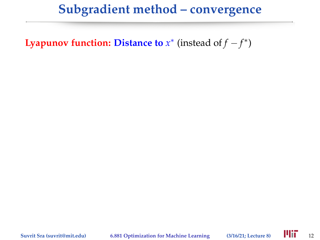**Lyapunov function: Distance to**  $x^*$  (instead of  $f - f^*$ )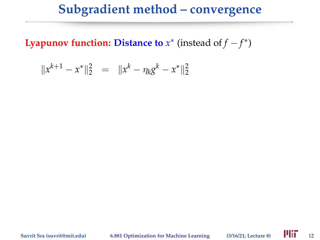**Lyapunov function: Distance to**  $x^*$  (instead of  $f - f^*$ )

$$
||x^{k+1} - x^*||_2^2 = ||x^k - \eta_k g^k - x^*||_2^2
$$

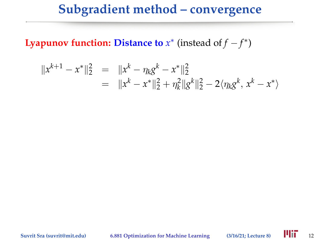**Lyapunov function: Distance to**  $x^*$  (instead of  $f - f^*$ )

$$
||x^{k+1} - x^*||_2^2 = ||x^k - \eta_k g^k - x^*||_2^2
$$
  
=  $||x^k - x^*||_2^2 + \eta_k^2 ||g^k||_2^2 - 2\langle \eta_k g^k, x^k - x^* \rangle$ 

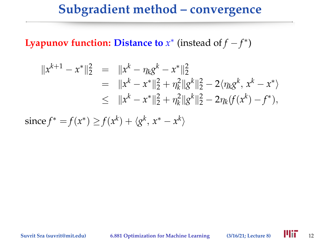**Lyapunov function: Distance to**  $x^*$  (instead of  $f - f^*$ )

$$
||x^{k+1} - x^*||_2^2 = ||x^k - \eta_k g^k - x^*||_2^2
$$
  
=  $||x^k - x^*||_2^2 + \eta_k^2||g^k||_2^2 - 2\langle \eta_k g^k, x^k - x^* \rangle$   
 $\leq ||x^k - x^*||_2^2 + \eta_k^2||g^k||_2^2 - 2\eta_k(f(x^k) - f^*),$ 

 $\text{since } f^* = f(x^*) \geq f(x^k) + \langle g^k, x^* - x^k \rangle$ 

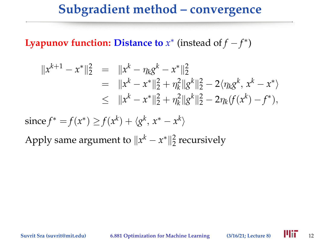**Lyapunov function: Distance to**  $x^*$  (instead of  $f - f^*$ )

$$
||x^{k+1} - x^*||_2^2 = ||x^k - \eta_k g^k - x^*||_2^2
$$
  
=  $||x^k - x^*||_2^2 + \eta_k^2 ||g^k||_2^2 - 2\langle \eta_k g^k, x^k - x^* \rangle$   
 $\leq ||x^k - x^*||_2^2 + \eta_k^2 ||g^k||_2^2 - 2\eta_k(f(x^k) - f^*),$ 

 $\text{since } f^* = f(x^*) \geq f(x^k) + \langle g^k, x^* - x^k \rangle$ 

Apply same argument to  $||x^k - x^*||_2^2$  recursively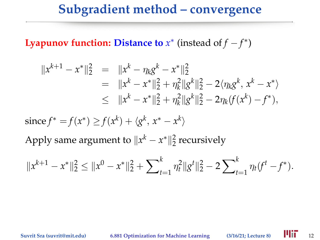**Lyapunov function: Distance to**  $x^*$  (instead of  $f - f^*$ )

$$
||x^{k+1} - x^*||_2^2 = ||x^k - \eta_k g^k - x^*||_2^2
$$
  
=  $||x^k - x^*||_2^2 + \eta_k^2 ||g^k||_2^2 - 2\langle \eta_k g^k, x^k - x^* \rangle$   
 $\leq ||x^k - x^*||_2^2 + \eta_k^2 ||g^k||_2^2 - 2\eta_k(f(x^k) - f^*),$ 

 $\text{since } f^* = f(x^*) \geq f(x^k) + \langle g^k, x^* - x^k \rangle$ 

Apply same argument to  $||x^k - x^*||_2^2$  recursively

$$
||x^{k+1} - x^*||_2^2 \le ||x^0 - x^*||_2^2 + \sum_{t=1}^k \eta_t^2 ||g^t||_2^2 - 2 \sum_{t=1}^k \eta_t (f^t - f^*).
$$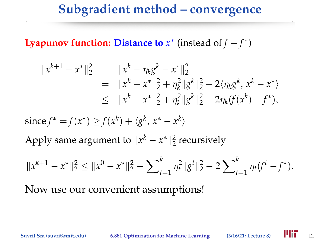**Lyapunov function: Distance to**  $x^*$  (instead of  $f - f^*$ )

$$
||x^{k+1} - x^*||_2^2 = ||x^k - \eta_k g^k - x^*||_2^2
$$
  
=  $||x^k - x^*||_2^2 + \eta_k^2 ||g^k||_2^2 - 2\langle \eta_k g^k, x^k - x^* \rangle$   
 $\leq ||x^k - x^*||_2^2 + \eta_k^2 ||g^k||_2^2 - 2\eta_k(f(x^k) - f^*),$ 

 $\text{since } f^* = f(x^*) \geq f(x^k) + \langle g^k, x^* - x^k \rangle$ 

Apply same argument to  $||x^k - x^*||_2^2$  recursively

$$
||x^{k+1} - x^*||_2^2 \le ||x^0 - x^*||_2^2 + \sum_{t=1}^k \eta_t^2 ||g^t||_2^2 - 2 \sum_{t=1}^k \eta_t (f^t - f^*).
$$

Now use our convenient assumptions!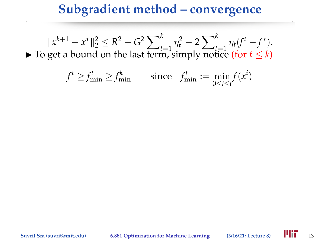$||x^{k+1} - x^*||_2^2 \leq R^2 + G^2 \sum_{t=1}^k$  $\sum_{t=1}^{k} \eta_t^2 - 2 \sum_{t}^{k}$  $\eta_t(f^t - f^*)$ .<br>  $t = 1$  (*f*  $\eta_t(f^t - f^*)$ ). ► To get a bound on the last term, simply notice (for  $t \leq k$ )

$$
f^t \ge f_{\min}^t \ge f_{\min}^k \qquad \text{since} \quad f_{\min}^t := \min_{0 \le i \le t} f(x^i)
$$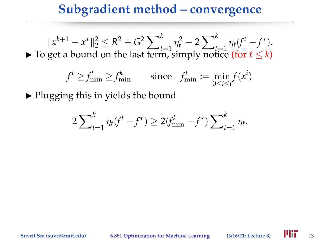$||x^{k+1} - x^*||_2^2 \leq R^2 + G^2 \sum_{t=1}^k$  $\sum_{t=1}^{k} \eta_t^2 - 2 \sum_{t}^{k}$  $\eta_t(f^t - f^*)$ .<br>  $t = 1$  (*f*  $\eta_t(f^t - f^*)$ ). ► To get a bound on the last term, simply notice (for  $t \leq k$ )

$$
f^t \ge f_{\min}^t \ge f_{\min}^k \qquad \text{since} \quad f_{\min}^t := \min_{0 \le i \le t} f(x^i)
$$

 $\triangleright$  Plugging this in yields the bound

$$
2\sum_{t=1}^{k} \eta_t(f^t - f^*) \ge 2(f_{\min}^k - f^*) \sum_{t=1}^{k} \eta_t.
$$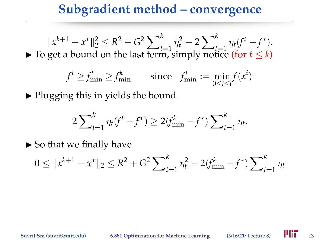$||x^{k+1} - x^*||_2^2 \leq R^2 + G^2 \sum_{t=1}^k$  $\sum_{t=1}^{k} \eta_t^2 - 2 \sum_{t}^{k}$  $\int_{t=1}^{k} \eta_t (f^t - f^*)$ . ► To get a bound on the last term, simply notice (for  $t \leq k$ )

$$
f^t \ge f_{\min}^t \ge f_{\min}^k \qquad \text{since} \quad f_{\min}^t := \min_{0 \le i \le t} f(x^i)
$$

 $\triangleright$  Plugging this in yields the bound

$$
2\sum_{t=1}^{k} \eta_t(f^t - f^*) \ge 2(f_{\min}^k - f^*) \sum_{t=1}^{k} \eta_t.
$$

 $\triangleright$  So that we finally have

$$
0 \le ||x^{k+1} - x^*||_2 \le R^2 + G^2 \sum_{t=1}^k \eta_t^2 - 2(f_{\min}^k - f^*) \sum_{t=1}^k \eta_t
$$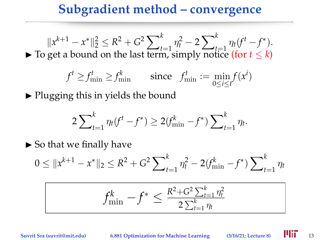$||x^{k+1} - x^*||_2^2 \leq R^2 + G^2 \sum_{t=1}^k$  $\sum_{t=1}^{k} \eta_t^2 - 2 \sum_{t}^{k}$  $\int_{t=1}^{k} \eta_t (f^t - f^*)$ . ► To get a bound on the last term, simply notice (for  $t \leq k$ )

$$
f^t \ge f_{\min}^t \ge f_{\min}^k \qquad \text{since} \quad f_{\min}^t := \min_{0 \le i \le t} f(x^i)
$$

 $\triangleright$  Plugging this in yields the bound

$$
2\sum_{t=1}^{k} \eta_t(f^t - f^*) \ge 2(f_{\min}^k - f^*) \sum_{t=1}^{k} \eta_t.
$$

 $\triangleright$  So that we finally have

$$
0 \le ||x^{k+1} - x^*||_2 \le R^2 + G^2 \sum_{t=1}^k \eta_t^2 - 2(f_{\min}^k - f^*) \sum_{t=1}^k \eta_t
$$

$$
f_{\min}^k - f^* \le \frac{R^2 + G^2 \sum_{t=1}^k \eta_t^2}{2 \sum_{t=1}^k \eta_t}
$$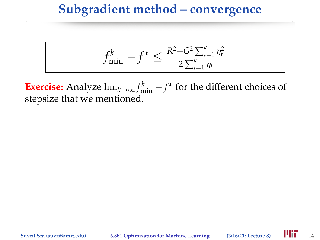$$
f_{\min}^k - f^* \leq \frac{R^2 + G^2 \sum_{t=1}^k \eta_t^2}{2 \sum_{t=1}^k \eta_t}
$$

**Exercise:** Analyze  $\lim_{k\to\infty} f_{\min}^k - f^*$  for the different choices of stepsize that we mentioned.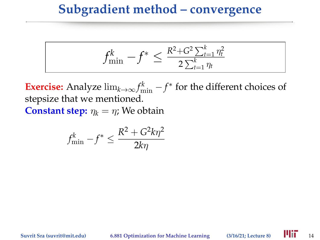$$
f_{\min}^k - f^* \leq \tfrac{R^2 + G^2 \sum_{t=1}^k \eta_t^2}{2 \sum_{t=1}^k \eta_t}
$$

**Exercise:** Analyze  $\lim_{k\to\infty} f_{\min}^k - f^*$  for the different choices of stepsize that we mentioned. **Constant step:**  $\eta_k = \eta$ ; We obtain

$$
f_{\min}^k - f^* \le \frac{R^2 + G^2 k \eta^2}{2k\eta}
$$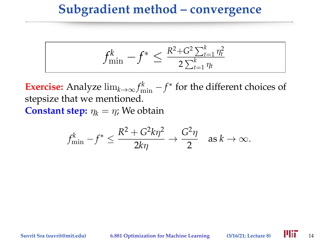$$
f_{\min}^k - f^* \leq \frac{R^2 + G^2 \sum_{t=1}^k \eta_t^2}{2 \sum_{t=1}^k \eta_t}
$$

**Exercise:** Analyze  $\lim_{k\to\infty} f_{\min}^k - f^*$  for the different choices of stepsize that we mentioned. **Constant step:**  $\eta_k = \eta$ ; We obtain

$$
f_{\min}^k - f^* \le \frac{R^2 + G^2 k \eta^2}{2k\eta} \to \frac{G^2 \eta}{2}
$$
 as  $k \to \infty$ .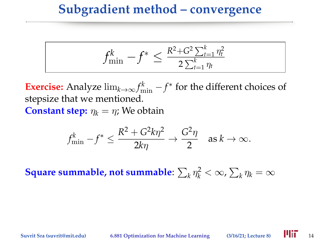$$
f_{\min}^k - f^* \leq \tfrac{R^2 + G^2 \sum_{t=1}^k \eta_t^2}{2 \sum_{t=1}^k \eta_t}
$$

**Exercise:** Analyze  $\lim_{k\to\infty} f_{\min}^k - f^*$  for the different choices of stepsize that we mentioned. **Constant step:**  $\eta_k = \eta$ ; We obtain

$$
f_{\min}^k - f^* \le \frac{R^2 + G^2 k \eta^2}{2k\eta} \to \frac{G^2 \eta}{2}
$$
 as  $k \to \infty$ .

**Square summable, not summable:**  $\sum_{k} \eta_k^2 < \infty$ ,  $\sum_{k} \eta_k = \infty$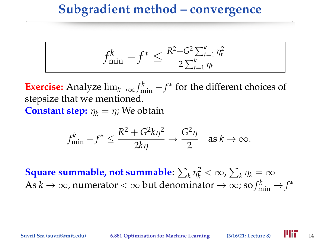$$
f_{\min}^k - f^* \le \frac{R^2 + G^2 \sum_{t=1}^k \eta_t^2}{2 \sum_{t=1}^k \eta_t}
$$

**Exercise:** Analyze  $\lim_{k\to\infty} f_{\min}^k - f^*$  for the different choices of stepsize that we mentioned. **Constant step:**  $n_k = n$ ; We obtain

$$
f_{\min}^k - f^* \le \frac{R^2 + G^2 k \eta^2}{2k\eta} \to \frac{G^2 \eta}{2}
$$
 as  $k \to \infty$ .

**Square summable, not summable:**  $\sum_{k} \eta_k^2 < \infty$ ,  $\sum_{k} \eta_k = \infty$ As  $k\to\infty$ , numerator  $<\infty$  but denominator  $\to\infty$ ; so  $f_{\rm min}^k\to f^*$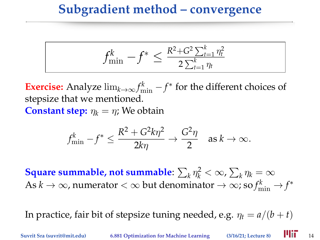$$
f_{\min}^k - f^* \le \frac{R^2 + G^2 \sum_{t=1}^k \eta_t^2}{2 \sum_{t=1}^k \eta_t}
$$

**Exercise:** Analyze  $\lim_{k\to\infty} f_{\min}^k - f^*$  for the different choices of stepsize that we mentioned. **Constant step:**  $\eta_k = \eta$ ; We obtain

$$
f_{\min}^k - f^* \le \frac{R^2 + G^2 k \eta^2}{2k\eta} \to \frac{G^2 \eta}{2}
$$
 as  $k \to \infty$ .

**Square summable, not summable:**  $\sum_{k} \eta_k^2 < \infty$ ,  $\sum_{k} \eta_k = \infty$ As  $k\to\infty$ , numerator  $<\infty$  but denominator  $\to\infty$ ; so  $f_{\rm min}^k\to f^*$ 

In practice, fair bit of stepsize tuning needed, e.g.  $\eta_t = a/(b + t)$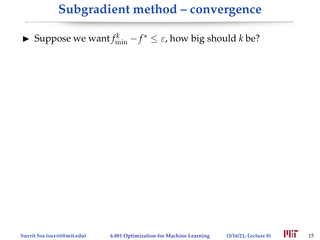► Suppose we want  $f_{\min}^k - f^* \leq \varepsilon$ , how big should *k* be?

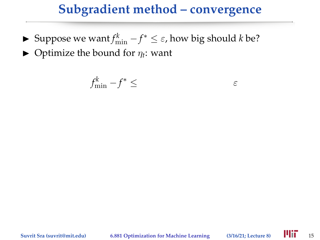- ► Suppose we want  $f_{\min}^k f^* \leq \varepsilon$ , how big should *k* be?
- $\blacktriangleright$  Optimize the bound for  $\eta_t$ : want

$$
f_{\min}^k - f^* \le \q
$$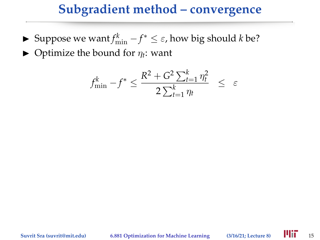► Suppose we want  $f_{\min}^k - f^* \leq \varepsilon$ , how big should *k* be?

 $\blacktriangleright$  Optimize the bound for  $\eta_t$ : want

$$
f_{\min}^k - f^* \le \frac{R^2 + G^2 \sum_{t=1}^k \eta_t^2}{2 \sum_{t=1}^k \eta_t} \le \varepsilon
$$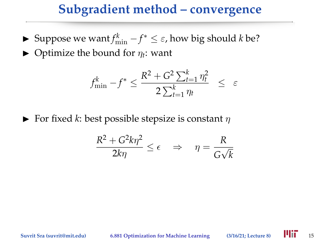- ► Suppose we want  $f_{\min}^k f^* \leq \varepsilon$ , how big should *k* be?
- $\blacktriangleright$  Optimize the bound for  $\eta_t$ : want

$$
f_{\min}^k - f^* \le \frac{R^2 + G^2 \sum_{t=1}^k \eta_t^2}{2 \sum_{t=1}^k \eta_t} \le \varepsilon
$$

**For fixed** *k*: best possible stepsize is constant  $\eta$ 

$$
\frac{R^2 + G^2 k \eta^2}{2k\eta} \le \epsilon \quad \Rightarrow \quad \eta = \frac{R}{G\sqrt{k}}
$$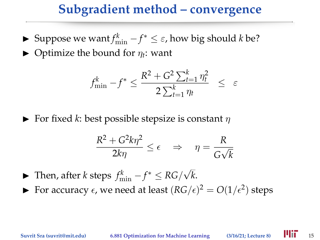- ► Suppose we want  $f_{\min}^k f^* \leq \varepsilon$ , how big should *k* be?
- $\blacktriangleright$  Optimize the bound for  $\eta_t$ : want

$$
f_{\min}^k - f^* \le \frac{R^2 + G^2 \sum_{t=1}^k \eta_t^2}{2 \sum_{t=1}^k \eta_t} \le \varepsilon
$$

**For fixed** *k*: best possible stepsize is constant  $\eta$ 

$$
\frac{R^2 + G^2 k \eta^2}{2k\eta} \le \epsilon \quad \Rightarrow \quad \eta = \frac{R}{G\sqrt{k}}
$$

- ► Then, after *k* steps  $f_{\min}^k f^* \le RG/\sqrt{2}$ *k*.
- For accuracy  $\epsilon$ , we need at least  $(RG/\epsilon)^2 = O(1/\epsilon^2)$  steps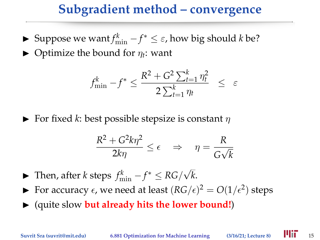- ► Suppose we want  $f_{\min}^k f^* \leq \varepsilon$ , how big should *k* be?
- $\blacktriangleright$  Optimize the bound for  $\eta_t$ : want

$$
f_{\min}^k - f^* \le \frac{R^2 + G^2 \sum_{t=1}^k \eta_t^2}{2 \sum_{t=1}^k \eta_t} \le \varepsilon
$$

**For fixed** *k*: best possible stepsize is constant  $\eta$ 

$$
\frac{R^2 + G^2 k \eta^2}{2k\eta} \le \epsilon \quad \Rightarrow \quad \eta = \frac{R}{G\sqrt{k}}
$$

- ► Then, after *k* steps  $f_{\min}^k f^* \le RG/\sqrt{2}$ *k*.
- For accuracy  $\epsilon$ , we need at least  $(RG/\epsilon)^2 = O(1/\epsilon^2)$  steps
- $\blacktriangleright$  (quite slow **but already hits the lower bound!)**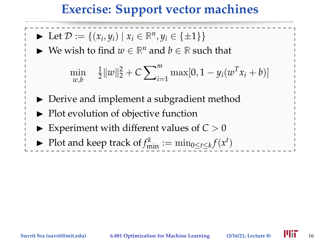## **Exercise: Support vector machines**

- ▶ Let  $D := \{(x_i, y_i) \mid x_i \in \mathbb{R}^n, y_i \in \{\pm 1\}\}\$
- ► We wish to find  $w \in \mathbb{R}^n$  and  $b \in \mathbb{R}$  such that

$$
\min_{w,b} \quad \frac{1}{2} ||w||_2^2 + C \sum_{i=1}^m \max[0, 1 - y_i(w^T x_i + b)]
$$

- $\triangleright$  Derive and implement a subgradient method
- $\blacktriangleright$  Plot evolution of objective function
- Experiment with different values of  $C > 0$
- ▶ Plot and keep track of  $f_{\min}^k := \min_{0 \le t \le k} f(x^t)$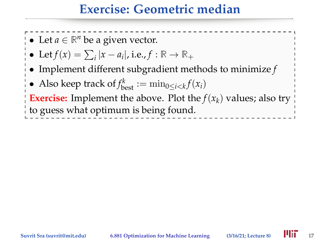## **Exercise: Geometric median**

- Let  $a \in \mathbb{R}^n$  be a given vector.
- Let  $f(x) = \sum_{i} |x a_i|$ , i.e.,  $f : \mathbb{R} \to \mathbb{R}_+$
- Implement different subgradient methods to minimize *f*
- Also keep track of  $f_{\text{best}}^k := \min_{0 \le i < k} f(x_i)$

**Exercise:** Implement the above. Plot the  $f(x_k)$  values; also try to guess what optimum is being found.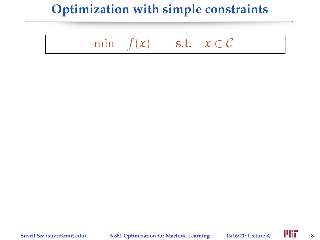## **Optimization with simple constraints**

# min  $f(x)$  s.t.  $x \in C$

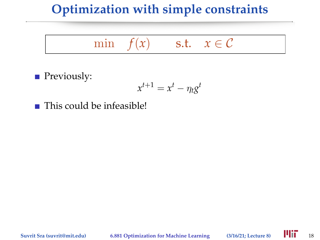## **Optimization with simple constraints**

## min  $f(x)$  s.t.  $x \in C$

**Previously:** 

$$
x^{t+1} = x^t - \eta_t g^t
$$

 $\blacksquare$  This could be infeasible!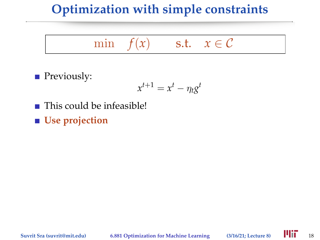## **Optimization with simple constraints**

## min  $f(x)$  s.t.  $x \in C$

**Previously:** 

$$
x^{t+1} = x^t - \eta_t g^t
$$

 $\blacksquare$  This could be infeasible!

■ Use projection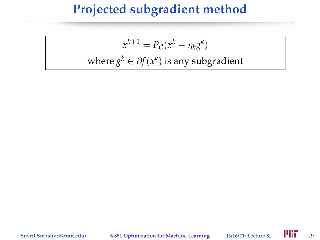## **Projected subgradient method**

$$
x^{k+1} = P_C(x^k - \eta_k g^k)
$$
  
where  $g^k \in \partial f(x^k)$  is any subgradient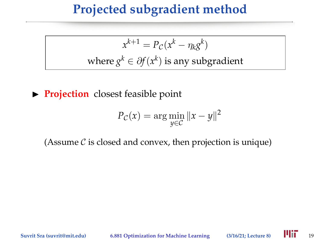## **Projected subgradient method**

 $x^{k+1} = P_c(x^k - \eta_k g^k)$ where  $g^k \in \partial f(x^k)$  is any subgradient

**Projection** closest feasible point

$$
P_{\mathcal{C}}(x) = \arg\min_{y \in \mathcal{C}} \|x - y\|^2
$$

(Assume  $\mathcal C$  is closed and convex, then projection is unique)

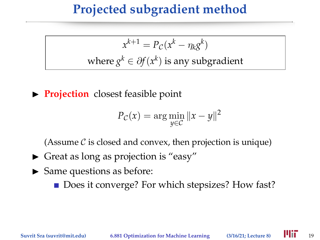## **Projected subgradient method**

 $x^{k+1} = P_c(x^k - \eta_k g^k)$ where  $g^k \in \partial f(x^k)$  is any subgradient

**Projection** closest feasible point

$$
P_{\mathcal{C}}(x) = \arg\min_{y \in \mathcal{C}} \|x - y\|^2
$$

(Assume  $\mathcal C$  is closed and convex, then projection is unique)

- $\triangleright$  Great as long as projection is "easy"
- $\blacktriangleright$  Same questions as before:

■ Does it converge? For which stepsizes? How fast?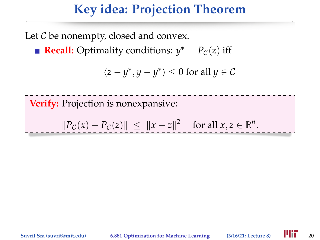## **Key idea: Projection Theorem**

Let  $C$  be nonempty, closed and convex.

**Recall:** Optimality conditions:  $y^* = P_C(z)$  iff

$$
\langle z-y^*,y-y^*\rangle\leq 0\text{ for all }y\in\mathcal{C}
$$

**Verify:** Projection is nonexpansive:  $||P_{\mathcal{C}}(x) - P_{\mathcal{C}}(z)|| \leq ||x - z||^2$  for all  $x, z \in \mathbb{R}^n$ .

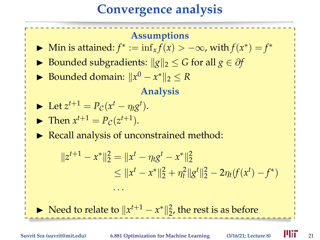## **Convergence analysis**

#### **Assumptions**

- ► Min is attained:  $f^* := \inf_x f(x) > -\infty$ , with  $f(x^*) = f^*$
- **►** Bounded subgradients:  $||g||_2 \le G$  for all  $g \in \partial f$
- ► Bounded domain:  $||x^0 x^*||_2 \leq R$

#### **Analysis**

$$
\blacktriangleright \text{ Let } z^{t+1} = P_{\mathcal{C}}(x^t - \eta_t g^t).
$$

$$
\text{Then } x^{t+1} = P_{\mathcal{C}}(z^{t+1}).
$$

 $\triangleright$  Recall analysis of unconstrained method:

. . .

$$
||z^{t+1} - x^*||_2^2 = ||x^t - \eta_t g^t - x^*||_2^2
$$
  
\n
$$
\le ||x^t - x^*||_2^2 + \eta_t^2 ||g^t||_2^2 - 2\eta_t (f(x^t) - f^*)
$$

► Need to relate to  $||x^{t+1} - x^*||_2^2$ , the rest is as before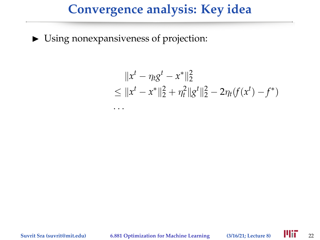## **Convergence analysis: Key idea**

 $\triangleright$  Using nonexpansiveness of projection:

. . .

$$
||xt - \eta_t gt - x^*||_2^2
$$
  
\n
$$
\leq ||xt - x^*||_2^2 + \eta_t^2 ||gt||_2^2 - 2\eta_t(f(xt) - f^*)
$$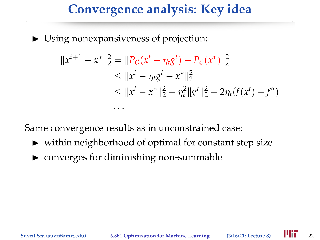## **Convergence analysis: Key idea**

 $\triangleright$  Using nonexpansiveness of projection:

. . .

$$
||x^{t+1} - x^*||_2^2 = ||P_C(x^t - \eta_t g^t) - P_C(x^*)||_2^2
$$
  
\n
$$
\le ||x^t - \eta_t g^t - x^*||_2^2
$$
  
\n
$$
\le ||x^t - x^*||_2^2 + \eta_t^2 ||g^t||_2^2 - 2\eta_t (f(x^t) - f^*)
$$

Same convergence results as in unconstrained case:

- $\triangleright$  within neighborhood of optimal for constant step size
- $\triangleright$  converges for diminishing non-summable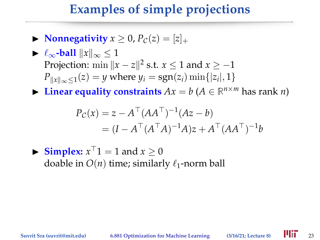## **Examples of simple projections**

 $\triangleright$  **Nonnegativity**  $x \geq 0$ ,  $P_C(z) = |z|_+$ 

$$
\begin{aligned}\n&\blacktriangleright \ell_{\infty}\text{-ball} \ \|x\|_{\infty} \le 1 \\
&\text{Projection: } \min \|x - z\|^2 \text{ s.t. } x \le 1 \text{ and } x \ge -1 \\
&\Pr_{\|x\|_{\infty} \le 1}(z) = y \text{ where } y_i = \text{sgn}(z_i) \min\{|z_i|, 1\}\n\end{aligned}
$$

▶ Linear equality constraints  $Ax = b$  ( $A \in \mathbb{R}^{n \times m}$  has rank *n*)

$$
P_C(x) = z - A^{\top} (AA^{\top})^{-1} (Az - b)
$$
  
=  $(I - A^{\top} (A^{\top} A)^{-1} A) z + A^{\top} (AA^{\top})^{-1} b$ 

 $\blacktriangleright$  **Simplex:**  $x^{\top}1 = 1$  and  $x \ge 0$ doable in  $O(n)$  time; similarly  $\ell_1$ -norm ball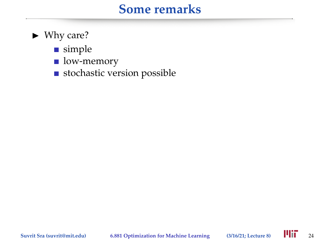### **Some remarks**

- $\blacktriangleright$  Why care?
	- simple
	- low-memory
	- stochastic version possible

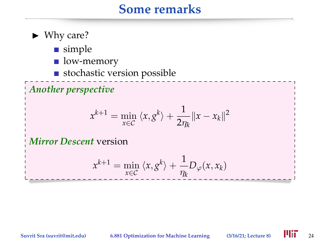#### **Some remarks**

- $\blacktriangleright$  Why care?
	- simple
	- low-memory
	- stochastic version possible

*Another perspective*

$$
x^{k+1} = \min_{x \in C} \langle x, g^k \rangle + \frac{1}{2\eta_k} ||x - x_k||^2
$$

*Mirror Descent* version

$$
x^{k+1} = \min_{x \in C} \langle x, g^k \rangle + \frac{1}{\eta_k} D_{\varphi}(x, x_k)
$$

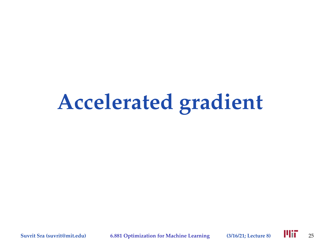# **Accelerated gradient**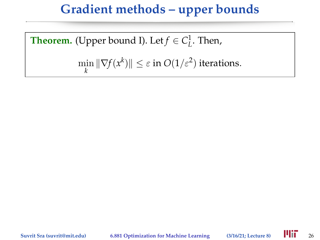## **Gradient methods – upper bounds**

**Theorem.** (Upper bound I). Let  $f \in C^1_L$ . Then,

 $\min_{k} \|\nabla f(x^k)\| \leq \varepsilon$  in  $O(1/\varepsilon^2)$  iterations.

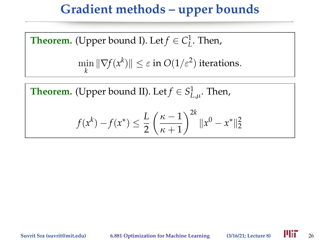## **Gradient methods – upper bounds**

**Theorem.** (Upper bound I). Let  $f \in C^1_L$ . Then,  $\min_{k} \|\nabla f(x^k)\| \leq \varepsilon$  in  $O(1/\varepsilon^2)$  iterations.

**Theorem.** (Upper bound II). Let  $f \in S^1_{L,\mu}$ . Then,

$$
f(x^{k}) - f(x^{*}) \le \frac{L}{2} \left(\frac{\kappa - 1}{\kappa + 1}\right)^{2k} \|x^{0} - x^{*}\|_{2}^{2}
$$

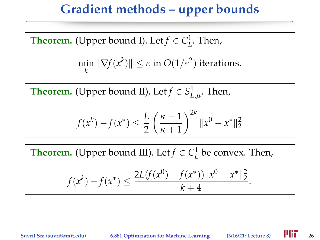## **Gradient methods – upper bounds**

**Theorem.** (Upper bound I). Let  $f \in C^1_L$ . Then,  $\min_{\mathbf{r}} \|\nabla f(\mathbf{x}^k)\| \leq \varepsilon \text{ in } O(1/\varepsilon^2) \text{ iterations.}$ *k*

**Theorem.** (Upper bound II). Let  $f \in S^1_{L,\mu}$ . Then,

$$
f(x^{k}) - f(x^{*}) \le \frac{L}{2} \left(\frac{\kappa - 1}{\kappa + 1}\right)^{2k} \|x^{0} - x^{*}\|_{2}^{2}
$$

**Theorem.** (Upper bound III). Let  $f \in C^1_L$  be convex. Then,

$$
f(x^{k}) - f(x^{*}) \leq \frac{2L(f(x^{0}) - f(x^{*}))||x^{0} - x^{*}||_{2}^{2}}{k+4}.
$$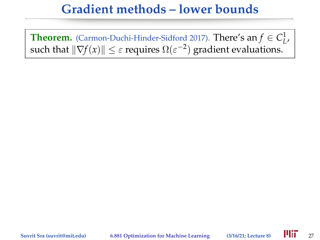## **Gradient methods – lower bounds**

**Theorem.** (Carmon-Duchi-Hinder-Sidford 2017). **There's an**  $f \in C^1_L$ , such that  $\|\nabla f(x)\| \leq \varepsilon$  requires  $\Omega(\varepsilon^{-2})$  gradient evaluations.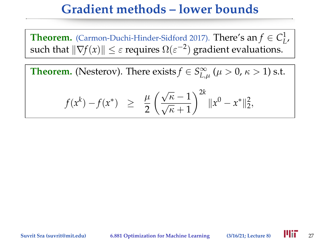## **Gradient methods – lower bounds**

**Theorem.** (Carmon-Duchi-Hinder-Sidford 2017). **There's an**  $f \in C^1_L$ , such that  $\|\nabla f(x)\| \leq \varepsilon$  requires  $\Omega(\varepsilon^{-2})$  gradient evaluations.

**Theorem.** (Nesterov). There exists  $f \in S^{\infty}_{L,\mu}$  ( $\mu > 0$ ,  $\kappa > 1$ ) s.t.

$$
f(x^k) - f(x^*) \ge \frac{\mu}{2} \left( \frac{\sqrt{\kappa} - 1}{\sqrt{\kappa} + 1} \right)^{2k} ||x^0 - x^*||_2^2,
$$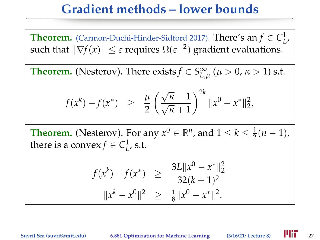## **Gradient methods – lower bounds**

**Theorem.** (Carmon-Duchi-Hinder-Sidford 2017). **There's an**  $f \in C^1_L$ , such that  $\|\nabla f(x)\| \leq \varepsilon$  requires  $\Omega(\varepsilon^{-2})$  gradient evaluations.

**Theorem.** (Nesterov). There exists  $f \in S^{\infty}_{L,\mu}$  ( $\mu > 0$ ,  $\kappa > 1$ ) s.t.

$$
f(x^k) - f(x^*) \ge \frac{\mu}{2} \left( \frac{\sqrt{\kappa} - 1}{\sqrt{\kappa} + 1} \right)^{2k} ||x^0 - x^*||_2^2,
$$

**Theorem.** (Nesterov). For any  $x^0 \in \mathbb{R}^n$ , and  $1 \leq k \leq \frac{1}{2}$  $rac{1}{2}(n-1),$ there is a convex  $f \in C^1_L$ , s.t.

$$
f(x^{k}) - f(x^{*}) \ge \frac{3L||x^{0} - x^{*}||_{2}^{2}}{32(k+1)^{2}}
$$
  

$$
||x^{k} - x^{0}||^{2} \ge \frac{1}{8}||x^{0} - x^{*}||^{2}.
$$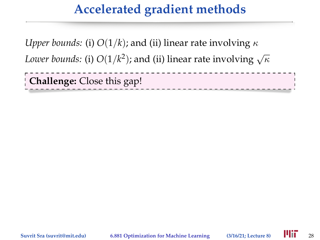## **Accelerated gradient methods**

*Upper bounds:* (i)  $O(1/k)$ ; and (ii) linear rate involving  $\kappa$ *Lower bounds:* (i)  $O(1/k^2)$ ; and (ii) linear rate involving  $\sqrt{\kappa}$ 

**Challenge:** Close this gap!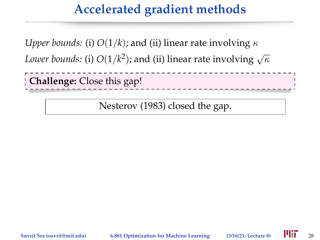## **Accelerated gradient methods**

*Upper bounds:* (i)  $O(1/k)$ ; and (ii) linear rate involving  $\kappa$ 

*Lower bounds:* (i)  $O(1/k^2)$ ; and (ii) linear rate involving  $\sqrt{\kappa}$ 

**Challenge:** Close this gap!

Nesterov (1983) closed the gap.

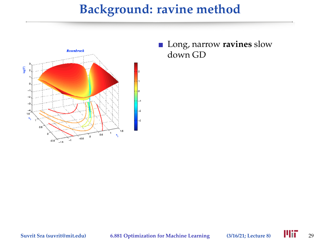## **Background: ravine method**



Long, narrow **ravines** slow down GD

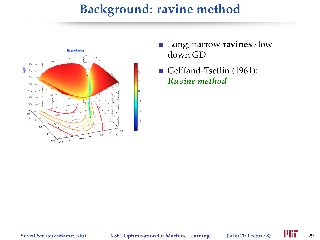## **Background: ravine method**



- Long, narrow **ravines** slow down GD
- Gel'fand-Tsetlin (1961): *Ravine method*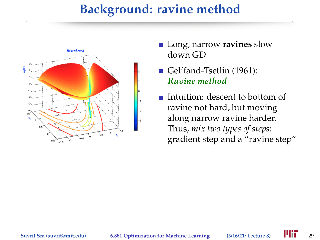### **Background: ravine method**



- **Long**, narrow **ravines** slow down GD
- Gel'fand-Tsetlin (1961): *Ravine method*
- Intuition: descent to bottom of ravine not hard, but moving along narrow ravine harder. Thus, *mix two types of steps*: gradient step and a "ravine step"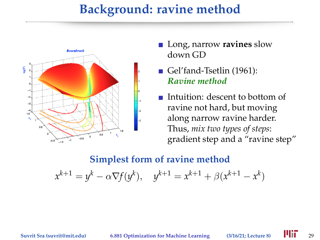### **Background: ravine method**



- Long, narrow **ravines** slow down GD
- Gel'fand-Tsetlin (1961): *Ravine method*
- Intuition: descent to bottom of ravine not hard, but moving along narrow ravine harder. Thus, *mix two types of steps*: gradient step and a "ravine step"

#### **Simplest form of ravine method**

 $x^{k+1} = y^k - \alpha \nabla f(y^k), \quad y^{k+1} = x^{k+1} + \beta(x^{k+1} - x^k)$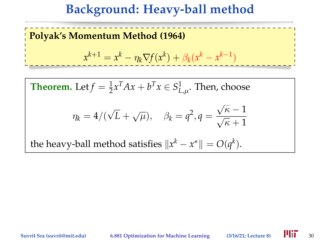### **Polyak's Momentum Method (1964)**

$$
x^{k+1} = x^k - \eta_k \nabla f(x^k) + \beta_k (x^k - x^{k-1})
$$

**Theorem.** Let  $f = \frac{1}{2}$  $\frac{1}{2}x^TAx + b^Tx \in S^1_{L,\mu}.$  Then, choose  $\eta_k = 4/($ √  $\overline{L} + \sqrt{\mu}$ ,  $\beta_k = q^2$ ,  $q =$  $\frac{\sqrt{\kappa}-1}{\sqrt{\kappa}+1}$ the heavy-ball method satisfies  $\Vert x^k - x^* \Vert = O(q^k).$ 

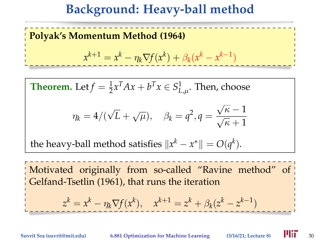#### **Polyak's Momentum Method (1964)**

$$
x^{k+1} = x^k - \eta_k \nabla f(x^k) + \beta_k (x^k - x^{k-1})
$$

**Theorem.** Let  $f = \frac{1}{2}$  $\frac{1}{2}x^TAx + b^Tx \in S^1_{L,\mu}.$  Then, choose  $\eta_k = 4/($ √  $\overline{L} + \sqrt{\mu}$ ,  $\beta_k = q^2$ ,  $q =$  $\frac{\sqrt{\kappa}-1}{\sqrt{\kappa}+1}$ 

the heavy-ball method satisfies  $\Vert x^k - x^* \Vert = O(q^k).$ 

Motivated originally from so-called "Ravine method" of Gelfand-Tsetlin (1961), that runs the iteration

$$
z^k = x^k - \eta_k \nabla f(x^k), \quad x^{k+1} = z^k + \beta_k (z^k - z^{k-1})
$$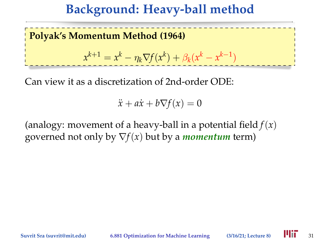**Polyak's Momentum Method (1964)**  $x^{k+1} = x^k - \eta_k \nabla f(x^k) + \beta_k (x^k - x^{k-1})$ 

Can view it as a discretization of 2nd-order ODE:

 $\ddot{x} + a\dot{x} + b\nabla f(x) = 0$ 

(analogy: movement of a heavy-ball in a potential field  $f(x)$ ) governed not only by  $\nabla f(x)$  but by a *momentum* term)

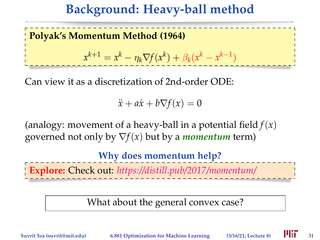**Polyak's Momentum Method (1964)**  $x^{k+1} = x^k - \eta_k \nabla f(x^k) + \beta_k (x^k - x^{k-1})$ 

Can view it as a discretization of 2nd-order ODE:

 $\ddot{x} + a\dot{x} + b\nabla f(x) = 0$ 

(analogy: movement of a heavy-ball in a potential field *f*(*x*) governed not only by  $\nabla f(x)$  but by a *momentum* term)

**Why does momentum help?**

**Explore:** Check out: *<https://distill.pub/2017/momentum/>*

What about the general convex case?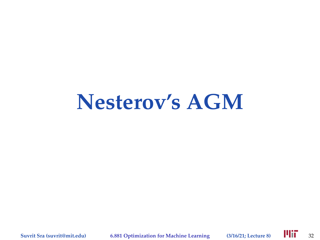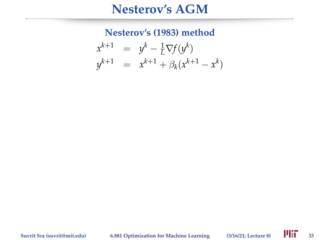**Nesterov's (1983) method**

$$
x^{k+1} = y^k - \frac{1}{L} \nabla f(y^k)
$$
  

$$
y^{k+1} = x^{k+1} + \beta_k (x^{k+1} - x^k)
$$

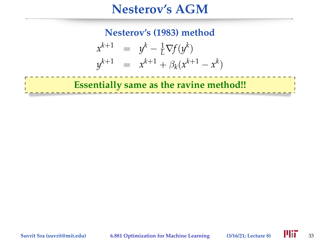**Nesterov's (1983) method**

$$
x^{k+1} = y^k - \frac{1}{L} \nabla f(y^k)
$$
  

$$
y^{k+1} = x^{k+1} + \beta_k (x^{k+1} - x^k)
$$

**Essentially same as the ravine method!!**

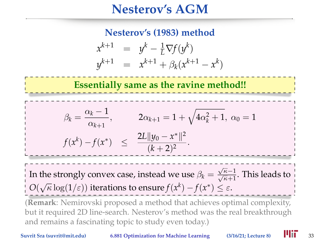#### **Nesterov's (1983) method**

$$
x^{k+1} = y^{k} - \frac{1}{L} \nabla f(y^{k})
$$
  

$$
y^{k+1} = x^{k+1} + \beta_k (x^{k+1} - x^{k})
$$

**Essentially same as the ravine method!!**

$$
\beta_k = \frac{\alpha_k - 1}{\alpha_{k+1}}, \qquad 2\alpha_{k+1} = 1 + \sqrt{4\alpha_k^2 + 1}, \ \alpha_0 = 1
$$

$$
f(x^k) - f(x^*) \le \frac{2L||y_0 - x^*||^2}{(k+2)^2}.
$$

 $I_n$  the strongly convex case, instead we use  $β_k = \frac{√κ - 1}{√κ + 1}$ . This leads to *O*( $\sqrt{\kappa} \log(1/\varepsilon)$ ) iterations to ensure  $f(x^k) - f(x^*) \leq \varepsilon$ .

(**Remark**: Nemirovski proposed a method that achieves optimal complexity, but it required 2D line-search. Nesterov's method was the real breakthrough and remains a fascinating topic to study even today.)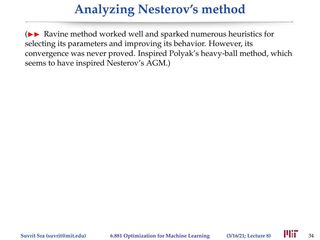### **Analyzing Nesterov's method**

 $(\triangleright\blacktriangleright$  Ravine method worked well and sparked numerous heuristics for selecting its parameters and improving its behavior. However, its convergence was never proved. Inspired Polyak's heavy-ball method, which seems to have inspired Nesterov's AGM.)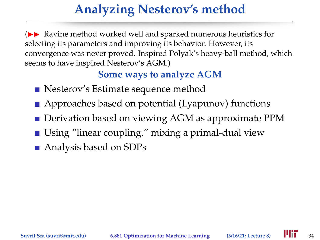## **Analyzing Nesterov's method**

 $\triangleright$  Ravine method worked well and sparked numerous heuristics for selecting its parameters and improving its behavior. However, its convergence was never proved. Inspired Polyak's heavy-ball method, which seems to have inspired Nesterov's AGM.)

#### **Some ways to analyze AGM**

- Nesterov's Estimate sequence method
- Approaches based on potential (Lyapunov) functions
- **Derivation based on viewing AGM as approximate PPM**
- Using "linear coupling," mixing a primal-dual view
- Analysis based on SDPs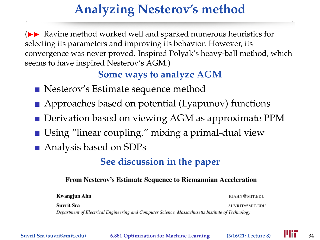## **Analyzing Nesterov's method**

 $\triangleright$  Ravine method worked well and sparked numerous heuristics for selecting its parameters and improving its behavior. However, its convergence was never proved. Inspired Polyak's heavy-ball method, which seems to have inspired Nesterov's AGM.)

#### **Some ways to analyze AGM**

- Nesterov's Estimate sequence method
- Approaches based on potential (Lyapunov) functions
- **Derivation based on viewing AGM as approximate PPM**
- Using "linear coupling," mixing a primal-dual view
- Analysis based on SDPs

#### **See discussion in the paper**

#### From Nesterov's Estimate Sequence to Riemannian Acceleration

| Kwangjun Ahn                                                                                     | KJAHN@MIT.EDU  |
|--------------------------------------------------------------------------------------------------|----------------|
| Suvrit Sra                                                                                       | SUVRIT@MIT.EDU |
| Department of Electrical Engineering and Computer Science, Massachusetts Institute of Technology |                |

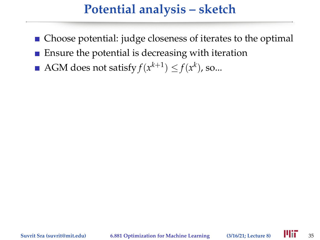- Choose potential: judge closeness of iterates to the optimal
- $\blacksquare$  Ensure the potential is decreasing with iteration
- AGM does not satisfy  $f(x^{k+1}) \leq f(x^k)$ , so...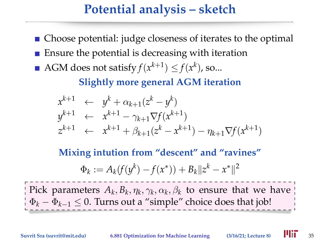- Choose potential: judge closeness of iterates to the optimal
- **Ensure the potential is decreasing with iteration**
- AGM does not satisfy  $f(x^{k+1}) \leq f(x^k)$ , so...

**Slightly more general AGM iteration**

$$
x^{k+1} \leftarrow y^{k} + \alpha_{k+1}(z^{k} - y^{k})
$$
  
\n
$$
y^{k+1} \leftarrow x^{k+1} - \gamma_{k+1} \nabla f(x^{k+1})
$$
  
\n
$$
z^{k+1} \leftarrow x^{k+1} + \beta_{k+1}(z^{k} - x^{k+1}) - \eta_{k+1} \nabla f(x^{k+1})
$$

**Mixing intution from "descent" and "ravines"**

$$
\Phi_k := A_k(f(y^k) - f(x^*)) + B_k ||z^k - x^*||^2
$$

Pick parameters  $A_k, B_k, \eta_k, \gamma_k, \alpha_k, \beta_k$  to ensure that we have  $\Phi_k - \Phi_{k-1} \leq 0$ . Turns out a "simple" choice does that job!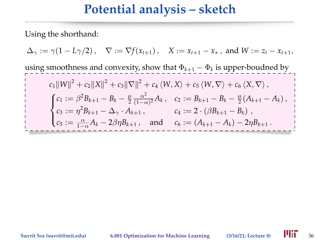Using the shorthand:

 $\Delta_{\gamma} := \gamma(1 - L\gamma/2), \quad \nabla := \nabla f(x_{t+1}), \quad X := x_{t+1} - x_*$ , and  $W := z_t - x_{t+1}$ , using smoothness and convexity, show that  $\Phi_{k+1} - \Phi_k$  is upper-boudned by  $c_1 \|W\|^2 + c_2 \|X\|^2 + c_3 \|\nabla\|^2 + c_4 \langle W, X \rangle + c_5 \langle W, \nabla \rangle + c_6 \langle X, \nabla \rangle,$  $\sqrt{ }$  $\int$  $\overline{\mathcal{L}}$  $c_1 := \beta^2 B_{k+1} - B_k - \frac{\mu}{2} \frac{\alpha^2}{(1 - c)}$  $\frac{\alpha^2}{(1-\alpha)^2}A_k, \quad c_2 := B_{k+1} - B_k - \frac{\mu}{2}(A_{k+1} - A_k),$  $c_3 := \eta^2 B_{k+1} - \Delta_\gamma \cdot A_{k+1}$ ,  $c_4 := 2 \cdot (\beta B_{k+1} - B_k)$ ,  $c_5 := \frac{\alpha}{1-\alpha}A_k - 2\beta\eta B_{k+1}$ , and  $c_6 := (A_{k+1} - A_k) - 2\eta B_{k+1}$ .